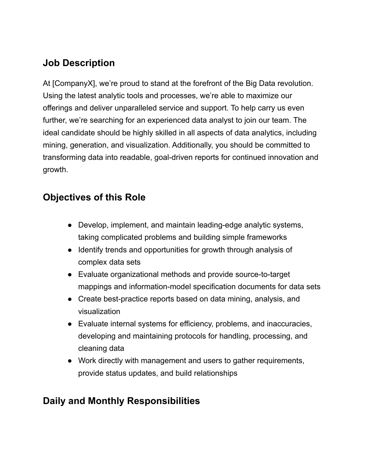## **Job Description**

At [CompanyX], we're proud to stand at the forefront of the Big Data revolution. Using the latest analytic tools and processes, we're able to maximize our offerings and deliver unparalleled service and support. To help carry us even further, we're searching for an experienced data analyst to join our team. The ideal candidate should be highly skilled in all aspects of data analytics, including mining, generation, and visualization. Additionally, you should be committed to transforming data into readable, goal-driven reports for continued innovation and growth.

### **Objectives of this Role**

- Develop, implement, and maintain leading-edge analytic systems, taking complicated problems and building simple frameworks
- Identify trends and opportunities for growth through analysis of complex data sets
- Evaluate organizational methods and provide source-to-target mappings and information-model specification documents for data sets
- Create best-practice reports based on data mining, analysis, and visualization
- Evaluate internal systems for efficiency, problems, and inaccuracies, developing and maintaining protocols for handling, processing, and cleaning data
- Work directly with management and users to gather requirements, provide status updates, and build relationships

# **Daily and Monthly Responsibilities**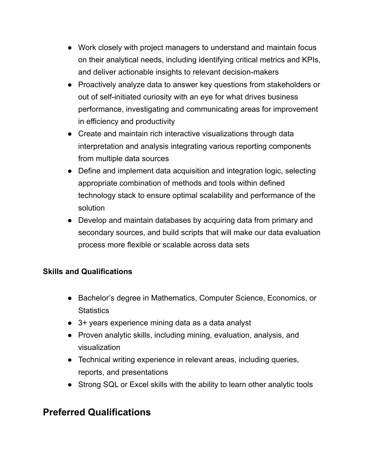- Work closely with project managers to understand and maintain focus on their analytical needs, including identifying critical metrics and KPIs, and deliver actionable insights to relevant decision-makers
- Proactively analyze data to answer key questions from stakeholders or out of self-initiated curiosity with an eye for what drives business performance, investigating and communicating areas for improvement in efficiency and productivity
- Create and maintain rich interactive visualizations through data interpretation and analysis integrating various reporting components from multiple data sources
- Define and implement data acquisition and integration logic, selecting appropriate combination of methods and tools within defined technology stack to ensure optimal scalability and performance of the solution
- Develop and maintain databases by acquiring data from primary and secondary sources, and build scripts that will make our data evaluation process more flexible or scalable across data sets

#### **Skills and Qualifications**

- Bachelor's degree in Mathematics, Computer Science, Economics, or **Statistics**
- 3+ years experience mining data as a data analyst
- Proven analytic skills, including mining, evaluation, analysis, and visualization
- Technical writing experience in relevant areas, including queries, reports, and presentations
- Strong SQL or Excel skills with the ability to learn other analytic tools

#### **Preferred Qualifications**